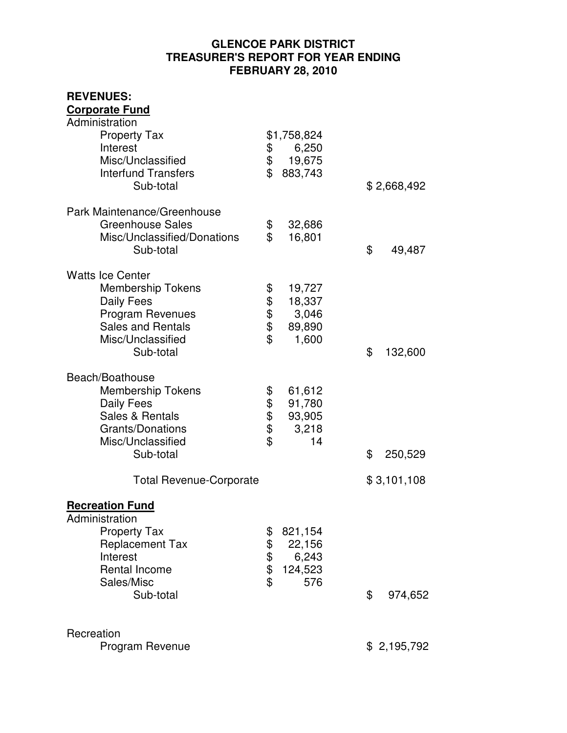## **GLENCOE PARK DISTRICT TREASURER'S REPORT FOR YEAR ENDING FEBRUARY 28, 2010**

| \$<br>\$                   | 6,250<br>19,675<br>883,743                   |                              | \$ 2,668,492 |
|----------------------------|----------------------------------------------|------------------------------|--------------|
| \$<br>\$                   | 32,686<br>16,801                             | \$                           | 49,487       |
| \$<br>\$\$\$<br>\$         | 19,727<br>18,337<br>3,046<br>89,890<br>1,600 | \$                           | 132,600      |
| \$<br>\$\$\$\$             | 61,612<br>91,780<br>93,905<br>3,218<br>14    | \$                           | 250,529      |
|                            |                                              |                              | \$3,101,108  |
| \$<br>\$<br>\$<br>\$<br>\$ | 821,154<br>22,156<br>6,243<br>124,523<br>576 | \$                           | 974,652      |
|                            |                                              |                              | \$2,195,792  |
|                            | <b>Total Revenue-Corporate</b>               | \$1,758,824<br>$\frac{1}{2}$ |              |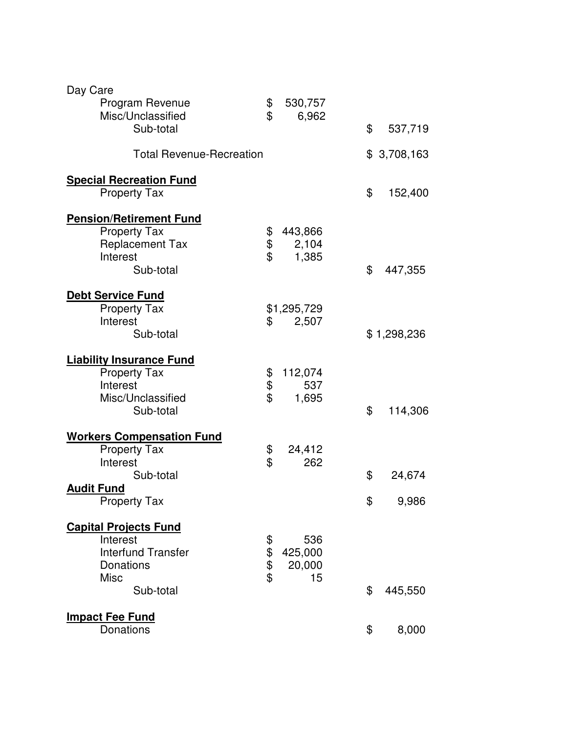| Day Care<br>Program Revenue<br>Misc/Unclassified                                                                             | \$<br>\$       | 530,757<br>6,962               |          |                 |
|------------------------------------------------------------------------------------------------------------------------------|----------------|--------------------------------|----------|-----------------|
| Sub-total                                                                                                                    |                |                                | \$       | 537,719         |
| <b>Total Revenue-Recreation</b>                                                                                              |                |                                |          | \$3,708,163     |
| <b>Special Recreation Fund</b><br><b>Property Tax</b>                                                                        |                |                                | \$       | 152,400         |
| <b>Pension/Retirement Fund</b><br><b>Property Tax</b><br><b>Replacement Tax</b><br>Interest<br>Sub-total                     | \$<br>\$<br>\$ | 443,866<br>2,104<br>1,385      | \$       | 447,355         |
| <b>Debt Service Fund</b><br><b>Property Tax</b><br>Interest<br>Sub-total                                                     | \$             | \$1,295,729<br>2,507           |          | \$1,298,236     |
| <b>Liability Insurance Fund</b><br><b>Property Tax</b><br>Interest<br>Misc/Unclassified<br>Sub-total                         | \$<br>\$<br>\$ | 112,074<br>537<br>1,695        | \$       | 114,306         |
| <b>Workers Compensation Fund</b><br><b>Property Tax</b><br>Interest<br>Sub-total<br><b>Audit Fund</b><br><b>Property Tax</b> | \$<br>\$       | 24,412<br>262                  | \$<br>\$ | 24,674<br>9,986 |
| <b>Capital Projects Fund</b><br>Interest<br><b>Interfund Transfer</b><br>Donations<br><b>Misc</b><br>Sub-total               | \$\$\$\$       | 536<br>425,000<br>20,000<br>15 | \$       | 445,550         |
| <b>Impact Fee Fund</b><br>Donations                                                                                          |                |                                | \$       | 8,000           |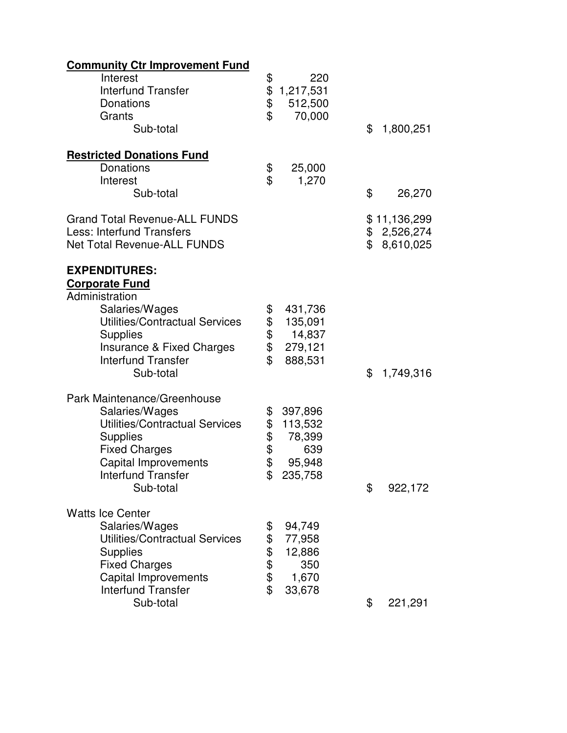| <b>Community Ctr Improvement Fund</b>                                                                          |                      |                                       |                                                |
|----------------------------------------------------------------------------------------------------------------|----------------------|---------------------------------------|------------------------------------------------|
| Interest<br><b>Interfund Transfer</b><br>Donations<br>Grants<br>Sub-total                                      | \$<br>\$<br>\$<br>\$ | 220<br>1,217,531<br>512,500<br>70,000 | \$<br>1,800,251                                |
| <b>Restricted Donations Fund</b>                                                                               |                      |                                       |                                                |
| Donations                                                                                                      | \$                   | 25,000                                |                                                |
| Interest                                                                                                       | \$                   | 1,270                                 |                                                |
| Sub-total                                                                                                      |                      |                                       | \$<br>26,270                                   |
| <b>Grand Total Revenue-ALL FUNDS</b><br><b>Less: Interfund Transfers</b><br><b>Net Total Revenue-ALL FUNDS</b> |                      |                                       | \$<br>\$11,136,299<br>\$2,526,274<br>8,610,025 |
| <b>EXPENDITURES:</b><br><b>Corporate Fund</b><br>Administration                                                |                      |                                       |                                                |
| Salaries/Wages                                                                                                 | \$                   | 431,736                               |                                                |
| Utilities/Contractual Services                                                                                 |                      | 135,091                               |                                                |
| <b>Supplies</b>                                                                                                | \$                   | 14,837                                |                                                |
| Insurance & Fixed Charges                                                                                      | \$                   | 279,121                               |                                                |
| <b>Interfund Transfer</b><br>Sub-total                                                                         | \$                   | 888,531                               | \$<br>1,749,316                                |
| Park Maintenance/Greenhouse                                                                                    |                      |                                       |                                                |
| Salaries/Wages                                                                                                 | \$                   | 397,896                               |                                                |
| Utilities/Contractual Services                                                                                 | \$                   | 113,532                               |                                                |
| <b>Supplies</b>                                                                                                | \$                   | 78,399                                |                                                |
| <b>Fixed Charges</b>                                                                                           | \$<br>\$             | 639                                   |                                                |
| Capital Improvements<br><b>Interfund Transfer</b>                                                              | \$                   | 95,948<br>235,758                     |                                                |
| Sub-total                                                                                                      |                      |                                       | \$<br>922,172                                  |
| <b>Watts Ice Center</b>                                                                                        |                      |                                       |                                                |
| Salaries/Wages                                                                                                 | \$                   | 94,749                                |                                                |
| Utilities/Contractual Services                                                                                 | \$                   | 77,958                                |                                                |
| <b>Supplies</b>                                                                                                | \$                   | 12,886                                |                                                |
| <b>Fixed Charges</b>                                                                                           | <b>ው ቀን</b>          | 350                                   |                                                |
| Capital Improvements<br><b>Interfund Transfer</b>                                                              |                      | 1,670<br>33,678                       |                                                |
| Sub-total                                                                                                      |                      |                                       | \$<br>221,291                                  |
|                                                                                                                |                      |                                       |                                                |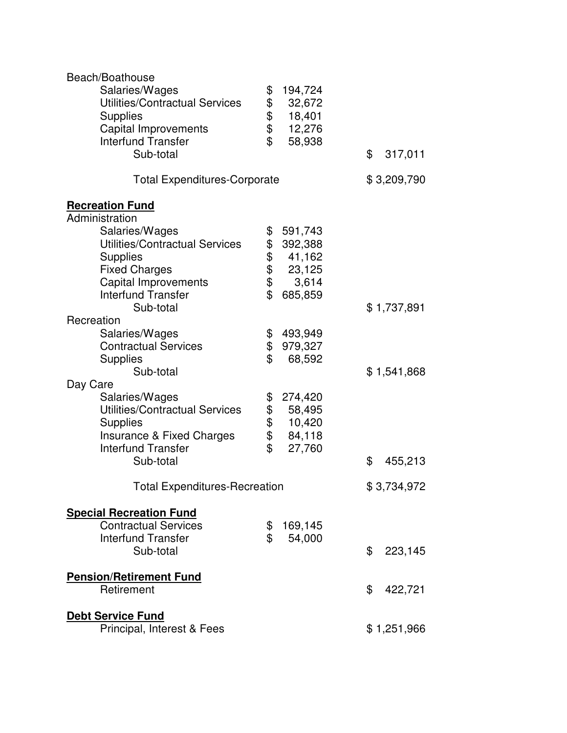| Beach/Boathouse                       |                    |               |
|---------------------------------------|--------------------|---------------|
| Salaries/Wages                        | \$<br>194,724      |               |
| <b>Utilities/Contractual Services</b> | \$<br>32,672       |               |
| <b>Supplies</b>                       | 18,401             |               |
| <b>Capital Improvements</b>           | \$<br>12,276       |               |
| <b>Interfund Transfer</b>             | \$<br>58,938       |               |
| Sub-total                             |                    | \$<br>317,011 |
|                                       |                    |               |
| <b>Total Expenditures-Corporate</b>   |                    | \$3,209,790   |
| <b>Recreation Fund</b>                |                    |               |
| Administration                        |                    |               |
| Salaries/Wages                        | \$<br>591,743      |               |
| Utilities/Contractual Services        | 392,388            |               |
| <b>Supplies</b>                       | \$\$\$\$<br>41,162 |               |
| <b>Fixed Charges</b>                  | 23,125             |               |
| Capital Improvements                  | 3,614              |               |
| <b>Interfund Transfer</b>             | \$<br>685,859      |               |
| Sub-total                             |                    | \$1,737,891   |
| Recreation                            |                    |               |
| Salaries/Wages                        | \$<br>493,949      |               |
| <b>Contractual Services</b>           | \$<br>979,327      |               |
| <b>Supplies</b>                       | \$<br>68,592       |               |
| Sub-total                             |                    | \$1,541,868   |
| Day Care                              |                    |               |
| Salaries/Wages                        | 274,420            |               |
| <b>Utilities/Contractual Services</b> | 58,495             |               |
| <b>Supplies</b>                       | \$\$\$\$<br>10,420 |               |
| Insurance & Fixed Charges             | 84,118             |               |
| <b>Interfund Transfer</b>             | \$<br>27,760       |               |
| Sub-total                             |                    | \$<br>455,213 |
|                                       |                    |               |
| <b>Total Expenditures-Recreation</b>  |                    | \$3,734,972   |
| <b>Special Recreation Fund</b>        |                    |               |
| <b>Contractual Services</b>           | \$<br>169,145      |               |
| <b>Interfund Transfer</b>             | \$<br>54,000       |               |
| Sub-total                             |                    | \$<br>223,145 |
|                                       |                    |               |
| <b>Pension/Retirement Fund</b>        |                    |               |
| Retirement                            |                    | \$<br>422,721 |
|                                       |                    |               |
| <b>Debt Service Fund</b>              |                    |               |
| Principal, Interest & Fees            |                    | \$1,251,966   |